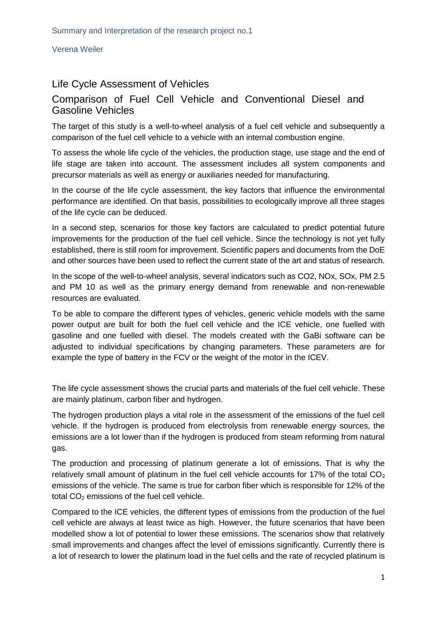Verena Weiler

## Life Cycle Assessment of Vehicles

## Comparison of Fuel Cell Vehicle and Conventional Diesel and Gasoline Vehicles

The target of this study is a well-to-wheel analysis of a fuel cell vehicle and subsequently a comparison of the fuel cell vehicle to a vehicle with an internal combustion engine.

To assess the whole life cycle of the vehicles, the production stage, use stage and the end of life stage are taken into account. The assessment includes all system components and precursor materials as well as energy or auxiliaries needed for manufacturing.

In the course of the life cycle assessment, the key factors that influence the environmental performance are identified. On that basis, possibilities to ecologically improve all three stages of the life cycle can be deduced.

In a second step, scenarios for those key factors are calculated to predict potential future improvements for the production of the fuel cell vehicle. Since the technology is not yet fully established, there is still room for improvement. Scientific papers and documents from the DoE and other sources have been used to reflect the current state of the art and status of research.

In the scope of the well-to-wheel analysis, several indicators such as CO2, NOx, SOx, PM 2.5 and PM 10 as well as the primary energy demand from renewable and non-renewable resources are evaluated.

To be able to compare the different types of vehicles, generic vehicle models with the same power output are built for both the fuel cell vehicle and the ICE vehicle, one fuelled with gasoline and one fuelled with diesel. The models created with the GaBi software can be adjusted to individual specifications by changing parameters. These parameters are for example the type of battery in the FCV or the weight of the motor in the ICEV.

The life cycle assessment shows the crucial parts and materials of the fuel cell vehicle. These are mainly platinum, carbon fiber and hydrogen.

The hydrogen production plays a vital role in the assessment of the emissions of the fuel cell vehicle. If the hydrogen is produced from electrolysis from renewable energy sources, the emissions are a lot lower than if the hydrogen is produced from steam reforming from natural gas.

The production and processing of platinum generate a lot of emissions. That is why the relatively small amount of platinum in the fuel cell vehicle accounts for 17% of the total  $CO<sub>2</sub>$ emissions of the vehicle. The same is true for carbon fiber which is responsible for 12% of the total  $CO<sub>2</sub>$  emissions of the fuel cell vehicle.

Compared to the ICE vehicles, the different types of emissions from the production of the fuel cell vehicle are always at least twice as high. However, the future scenarios that have been modelled show a lot of potential to lower these emissions. The scenarios show that relatively small improvements and changes affect the level of emissions significantly. Currently there is a lot of research to lower the platinum load in the fuel cells and the rate of recycled platinum is